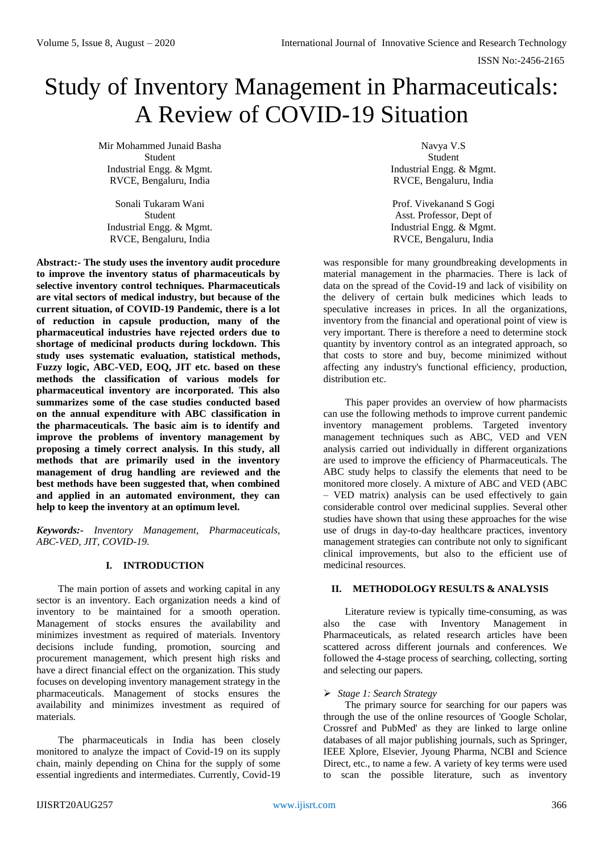# Study of Inventory Management in Pharmaceuticals: A Review of COVID-19 Situation

Mir Mohammed Junaid Basha Student Industrial Engg. & Mgmt. RVCE, Bengaluru, India

Sonali Tukaram Wani Student Industrial Engg. & Mgmt. RVCE, Bengaluru, India

**Abstract:- The study uses the inventory audit procedure to improve the inventory status of pharmaceuticals by selective inventory control techniques. Pharmaceuticals are vital sectors of medical industry, but because of the current situation, of COVID-19 Pandemic, there is a lot of reduction in capsule production, many of the pharmaceutical industries have rejected orders due to shortage of medicinal products during lockdown. This study uses systematic evaluation, statistical methods, Fuzzy logic, ABC-VED, EOQ, JIT etc. based on these methods the classification of various models for pharmaceutical inventory are incorporated. This also summarizes some of the case studies conducted based on the annual expenditure with ABC classification in the pharmaceuticals. The basic aim is to identify and improve the problems of inventory management by proposing a timely correct analysis. In this study, all methods that are primarily used in the inventory management of drug handling are reviewed and the best methods have been suggested that, when combined and applied in an automated environment, they can help to keep the inventory at an optimum level.**

*Keywords:- Inventory Management, Pharmaceuticals, ABC-VED, JIT, COVID-19.*

## **I. INTRODUCTION**

The main portion of assets and working capital in any sector is an inventory. Each organization needs a kind of inventory to be maintained for a smooth operation. Management of stocks ensures the availability and minimizes investment as required of materials. Inventory decisions include funding, promotion, sourcing and procurement management, which present high risks and have a direct financial effect on the organization. This study focuses on developing inventory management strategy in the pharmaceuticals. Management of stocks ensures the availability and minimizes investment as required of materials.

The pharmaceuticals in India has been closely monitored to analyze the impact of Covid-19 on its supply chain, mainly depending on China for the supply of some essential ingredients and intermediates. Currently, Covid-19

Navya V.S Student Industrial Engg. & Mgmt. RVCE, Bengaluru, India

Prof. Vivekanand S Gogi Asst. Professor, Dept of Industrial Engg. & Mgmt. RVCE, Bengaluru, India

was responsible for many groundbreaking developments in material management in the pharmacies. There is lack of data on the spread of the Covid-19 and lack of visibility on the delivery of certain bulk medicines which leads to speculative increases in prices. In all the organizations, inventory from the financial and operational point of view is very important. There is therefore a need to determine stock quantity by inventory control as an integrated approach, so that costs to store and buy, become minimized without affecting any industry's functional efficiency, production, distribution etc.

This paper provides an overview of how pharmacists can use the following methods to improve current pandemic inventory management problems. Targeted inventory management techniques such as ABC, VED and VEN analysis carried out individually in different organizations are used to improve the efficiency of Pharmaceuticals. The ABC study helps to classify the elements that need to be monitored more closely. A mixture of ABC and VED (ABC – VED matrix) analysis can be used effectively to gain considerable control over medicinal supplies. Several other studies have shown that using these approaches for the wise use of drugs in day-to-day healthcare practices, inventory management strategies can contribute not only to significant clinical improvements, but also to the efficient use of medicinal resources.

## **II. METHODOLOGY RESULTS & ANALYSIS**

Literature review is typically time-consuming, as was also the case with Inventory Management in Pharmaceuticals, as related research articles have been scattered across different journals and conferences. We followed the 4-stage process of searching, collecting, sorting and selecting our papers.

#### *Stage 1: Search Strategy*

The primary source for searching for our papers was through the use of the online resources of 'Google Scholar, Crossref and PubMed' as they are linked to large online databases of all major publishing journals, such as Springer, IEEE Xplore, Elsevier, Jyoung Pharma, NCBI and Science Direct, etc., to name a few. A variety of key terms were used to scan the possible literature, such as inventory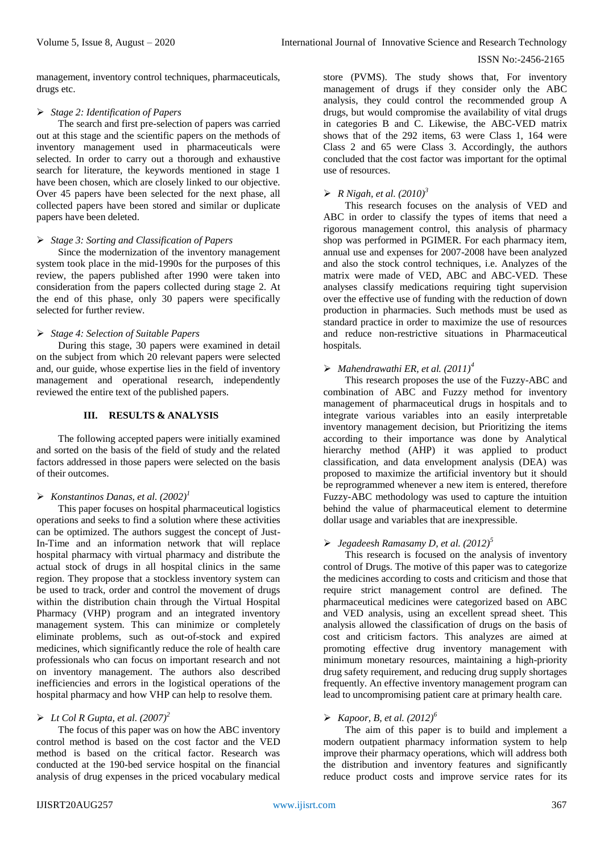management, inventory control techniques, pharmaceuticals, drugs etc.

#### *Stage 2: Identification of Papers*

The search and first pre-selection of papers was carried out at this stage and the scientific papers on the methods of inventory management used in pharmaceuticals were selected. In order to carry out a thorough and exhaustive search for literature, the keywords mentioned in stage 1 have been chosen, which are closely linked to our objective. Over 45 papers have been selected for the next phase, all collected papers have been stored and similar or duplicate papers have been deleted.

#### *Stage 3: Sorting and Classification of Papers*

Since the modernization of the inventory management system took place in the mid-1990s for the purposes of this review, the papers published after 1990 were taken into consideration from the papers collected during stage 2. At the end of this phase, only 30 papers were specifically selected for further review.

#### *Stage 4: Selection of Suitable Papers*

During this stage, 30 papers were examined in detail on the subject from which 20 relevant papers were selected and, our guide, whose expertise lies in the field of inventory management and operational research, independently reviewed the entire text of the published papers.

#### **III. RESULTS & ANALYSIS**

The following accepted papers were initially examined and sorted on the basis of the field of study and the related factors addressed in those papers were selected on the basis of their outcomes.

## $\triangleright$  *Konstantinos Danas, et al.*  $(2002)^{1}$

This paper focuses on hospital pharmaceutical logistics operations and seeks to find a solution where these activities can be optimized. The authors suggest the concept of Just-In-Time and an information network that will replace hospital pharmacy with virtual pharmacy and distribute the actual stock of drugs in all hospital clinics in the same region. They propose that a stockless inventory system can be used to track, order and control the movement of drugs within the distribution chain through the Virtual Hospital Pharmacy (VHP) program and an integrated inventory management system. This can minimize or completely eliminate problems, such as out-of-stock and expired medicines, which significantly reduce the role of health care professionals who can focus on important research and not on inventory management. The authors also described inefficiencies and errors in the logistical operations of the hospital pharmacy and how VHP can help to resolve them.

#### $\blacktriangleright$  *Lt Col R Gupta, et al.*  $(2007)^2$

The focus of this paper was on how the ABC inventory control method is based on the cost factor and the VED method is based on the critical factor. Research was conducted at the 190-bed service hospital on the financial analysis of drug expenses in the priced vocabulary medical

store (PVMS). The study shows that, For inventory management of drugs if they consider only the ABC analysis, they could control the recommended group A drugs, but would compromise the availability of vital drugs in categories B and C. Likewise, the ABC-VED matrix shows that of the 292 items, 63 were Class 1, 164 were Class 2 and 65 were Class 3. Accordingly, the authors concluded that the cost factor was important for the optimal use of resources.

## *R Nigah, et al. (2010)<sup>3</sup>*

This research focuses on the analysis of VED and ABC in order to classify the types of items that need a rigorous management control, this analysis of pharmacy shop was performed in PGIMER. For each pharmacy item, annual use and expenses for 2007-2008 have been analyzed and also the stock control techniques, i.e. Analyzes of the matrix were made of VED, ABC and ABC-VED. These analyses classify medications requiring tight supervision over the effective use of funding with the reduction of down production in pharmacies. Such methods must be used as standard practice in order to maximize the use of resources and reduce non-restrictive situations in Pharmaceutical hospitals.

## *Mahendrawathi ER, et al. (2011)<sup>4</sup>*

This research proposes the use of the Fuzzy-ABC and combination of ABC and Fuzzy method for inventory management of pharmaceutical drugs in hospitals and to integrate various variables into an easily interpretable inventory management decision, but Prioritizing the items according to their importance was done by Analytical hierarchy method (AHP) it was applied to product classification, and data envelopment analysis (DEA) was proposed to maximize the artificial inventory but it should be reprogrammed whenever a new item is entered, therefore Fuzzy-ABC methodology was used to capture the intuition behind the value of pharmaceutical element to determine dollar usage and variables that are inexpressible.

#### *Jegadeesh Ramasamy D, et al. (2012)<sup>5</sup>*

This research is focused on the analysis of inventory control of Drugs. The motive of this paper was to categorize the medicines according to costs and criticism and those that require strict management control are defined. The pharmaceutical medicines were categorized based on ABC and VED analysis, using an excellent spread sheet. This analysis allowed the classification of drugs on the basis of cost and criticism factors. This analyzes are aimed at promoting effective drug inventory management with minimum monetary resources, maintaining a high-priority drug safety requirement, and reducing drug supply shortages frequently. An effective inventory management program can lead to uncompromising patient care at primary health care.

## *Kapoor, B, et al. (2012)<sup>6</sup>*

The aim of this paper is to build and implement a modern outpatient pharmacy information system to help improve their pharmacy operations, which will address both the distribution and inventory features and significantly reduce product costs and improve service rates for its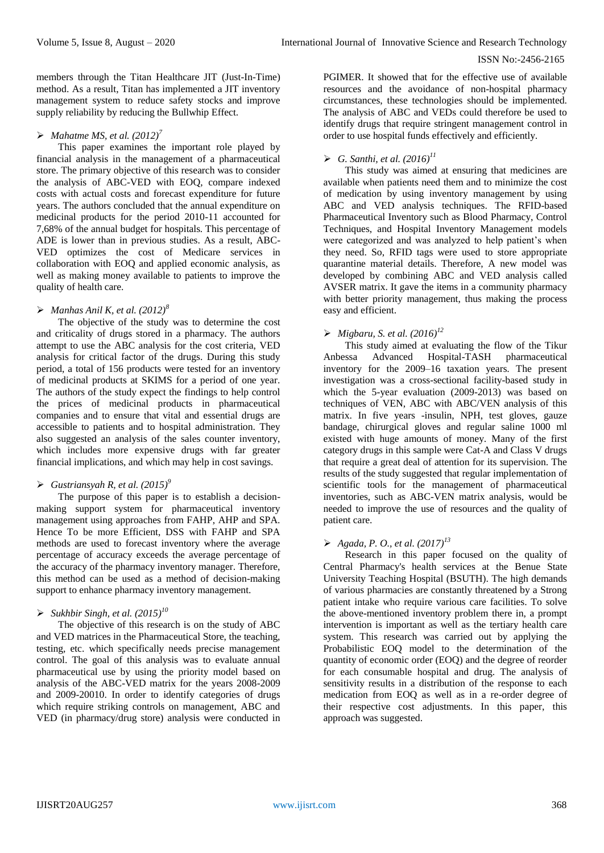members through the Titan Healthcare JIT (Just-In-Time) method. As a result, Titan has implemented a JIT inventory management system to reduce safety stocks and improve supply reliability by reducing the Bullwhip Effect.

## $\triangleright$  *Mahatme MS, et al.*  $(2012)^7$

This paper examines the important role played by financial analysis in the management of a pharmaceutical store. The primary objective of this research was to consider the analysis of ABC-VED with EOQ, compare indexed costs with actual costs and forecast expenditure for future years. The authors concluded that the annual expenditure on medicinal products for the period 2010-11 accounted for 7,68% of the annual budget for hospitals. This percentage of ADE is lower than in previous studies. As a result, ABC-VED optimizes the cost of Medicare services in collaboration with EOQ and applied economic analysis, as well as making money available to patients to improve the quality of health care.

#### $\triangleright$  *Manhas Anil K, et al.* (2012)<sup>8</sup>

The objective of the study was to determine the cost and criticality of drugs stored in a pharmacy. The authors attempt to use the ABC analysis for the cost criteria, VED analysis for critical factor of the drugs. During this study period, a total of 156 products were tested for an inventory of medicinal products at SKIMS for a period of one year. The authors of the study expect the findings to help control the prices of medicinal products in pharmaceutical companies and to ensure that vital and essential drugs are accessible to patients and to hospital administration. They also suggested an analysis of the sales counter inventory, which includes more expensive drugs with far greater financial implications, and which may help in cost savings.

#### *Gustriansyah R, et al. (2015)<sup>9</sup>*

The purpose of this paper is to establish a decisionmaking support system for pharmaceutical inventory management using approaches from FAHP, AHP and SPA. Hence To be more Efficient, DSS with FAHP and SPA methods are used to forecast inventory where the average percentage of accuracy exceeds the average percentage of the accuracy of the pharmacy inventory manager. Therefore, this method can be used as a method of decision-making support to enhance pharmacy inventory management.

# *Sukhbir Singh, et al. (2015)<sup>10</sup>*

The objective of this research is on the study of ABC and VED matrices in the Pharmaceutical Store, the teaching, testing, etc. which specifically needs precise management control. The goal of this analysis was to evaluate annual pharmaceutical use by using the priority model based on analysis of the ABC-VED matrix for the years 2008-2009 and 2009-20010. In order to identify categories of drugs which require striking controls on management, ABC and VED (in pharmacy/drug store) analysis were conducted in

PGIMER. It showed that for the effective use of available resources and the avoidance of non-hospital pharmacy circumstances, these technologies should be implemented. The analysis of ABC and VEDs could therefore be used to identify drugs that require stringent management control in order to use hospital funds effectively and efficiently.

# $\blacktriangleright$  *G. Santhi, et al.*  $(2016)^{11}$

This study was aimed at ensuring that medicines are available when patients need them and to minimize the cost of medication by using inventory management by using ABC and VED analysis techniques. The RFID-based Pharmaceutical Inventory such as Blood Pharmacy, Control Techniques, and Hospital Inventory Management models were categorized and was analyzed to help patient's when they need. So, RFID tags were used to store appropriate quarantine material details. Therefore, A new model was developed by combining ABC and VED analysis called AVSER matrix. It gave the items in a community pharmacy with better priority management, thus making the process easy and efficient.

## *Migbaru, S. et al. (2016)<sup>12</sup>*

This study aimed at evaluating the flow of the Tikur Anbessa Advanced Hospital-TASH pharmaceutical inventory for the 2009–16 taxation years. The present investigation was a cross-sectional facility-based study in which the 5-year evaluation (2009-2013) was based on techniques of VEN, ABC with ABC/VEN analysis of this matrix. In five years -insulin, NPH, test gloves, gauze bandage, chirurgical gloves and regular saline 1000 ml existed with huge amounts of money. Many of the first category drugs in this sample were Cat-A and Class V drugs that require a great deal of attention for its supervision. The results of the study suggested that regular implementation of scientific tools for the management of pharmaceutical inventories, such as ABC-VEN matrix analysis, would be needed to improve the use of resources and the quality of patient care.

## *Agada, P. O., et al. (2017)<sup>13</sup>*

Research in this paper focused on the quality of Central Pharmacy's health services at the Benue State University Teaching Hospital (BSUTH). The high demands of various pharmacies are constantly threatened by a Strong patient intake who require various care facilities. To solve the above-mentioned inventory problem there in, a prompt intervention is important as well as the tertiary health care system. This research was carried out by applying the Probabilistic EOQ model to the determination of the quantity of economic order (EOQ) and the degree of reorder for each consumable hospital and drug. The analysis of sensitivity results in a distribution of the response to each medication from EOQ as well as in a re-order degree of their respective cost adjustments. In this paper, this approach was suggested.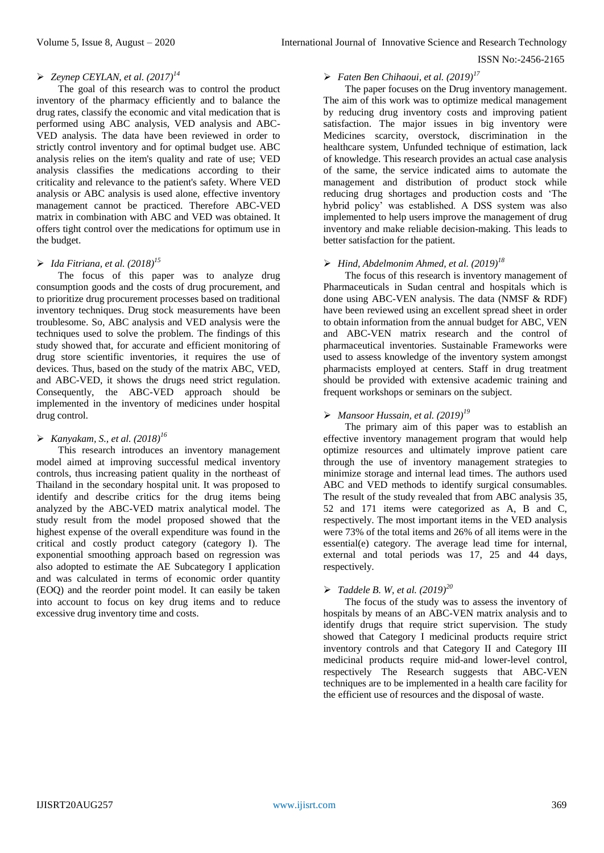## *Zeynep CEYLAN, et al. (2017)<sup>14</sup>*

The goal of this research was to control the product inventory of the pharmacy efficiently and to balance the drug rates, classify the economic and vital medication that is performed using ABC analysis, VED analysis and ABC-VED analysis. The data have been reviewed in order to strictly control inventory and for optimal budget use. ABC analysis relies on the item's quality and rate of use; VED analysis classifies the medications according to their criticality and relevance to the patient's safety. Where VED analysis or ABC analysis is used alone, effective inventory management cannot be practiced. Therefore ABC-VED matrix in combination with ABC and VED was obtained. It offers tight control over the medications for optimum use in the budget.

## *Ida Fitriana, et al. (2018)<sup>15</sup>*

The focus of this paper was to analyze drug consumption goods and the costs of drug procurement, and to prioritize drug procurement processes based on traditional inventory techniques. Drug stock measurements have been troublesome. So, ABC analysis and VED analysis were the techniques used to solve the problem. The findings of this study showed that, for accurate and efficient monitoring of drug store scientific inventories, it requires the use of devices. Thus, based on the study of the matrix ABC, VED, and ABC-VED, it shows the drugs need strict regulation. Consequently, the ABC-VED approach should be implemented in the inventory of medicines under hospital drug control.

### *Kanyakam, S., et al. (2018)<sup>16</sup>*

This research introduces an inventory management model aimed at improving successful medical inventory controls, thus increasing patient quality in the northeast of Thailand in the secondary hospital unit. It was proposed to identify and describe critics for the drug items being analyzed by the ABC-VED matrix analytical model. The study result from the model proposed showed that the highest expense of the overall expenditure was found in the critical and costly product category (category I). The exponential smoothing approach based on regression was also adopted to estimate the AE Subcategory I application and was calculated in terms of economic order quantity (EOQ) and the reorder point model. It can easily be taken into account to focus on key drug items and to reduce excessive drug inventory time and costs.

## *Faten Ben Chihaoui, et al. (2019)<sup>17</sup>*

The paper focuses on the Drug inventory management. The aim of this work was to optimize medical management by reducing drug inventory costs and improving patient satisfaction. The major issues in big inventory were Medicines scarcity, overstock, discrimination in the healthcare system, Unfunded technique of estimation, lack of knowledge. This research provides an actual case analysis of the same, the service indicated aims to automate the management and distribution of product stock while reducing drug shortages and production costs and 'The hybrid policy' was established. A DSS system was also implemented to help users improve the management of drug inventory and make reliable decision-making. This leads to better satisfaction for the patient.

## *Hind, Abdelmonim Ahmed, et al. (2019)<sup>18</sup>*

The focus of this research is inventory management of Pharmaceuticals in Sudan central and hospitals which is done using ABC-VEN analysis. The data (NMSF & RDF) have been reviewed using an excellent spread sheet in order to obtain information from the annual budget for ABC, VEN and ABC-VEN matrix research and the control of pharmaceutical inventories. Sustainable Frameworks were used to assess knowledge of the inventory system amongst pharmacists employed at centers. Staff in drug treatment should be provided with extensive academic training and frequent workshops or seminars on the subject.

## *Mansoor Hussain, et al. (2019)<sup>19</sup>*

The primary aim of this paper was to establish an effective inventory management program that would help optimize resources and ultimately improve patient care through the use of inventory management strategies to minimize storage and internal lead times. The authors used ABC and VED methods to identify surgical consumables. The result of the study revealed that from ABC analysis 35, 52 and 171 items were categorized as A, B and C, respectively. The most important items in the VED analysis were 73% of the total items and 26% of all items were in the essential(e) category. The average lead time for internal, external and total periods was 17, 25 and 44 days, respectively.

## *Taddele B. W, et al. (2019)<sup>20</sup>*

The focus of the study was to assess the inventory of hospitals by means of an ABC-VEN matrix analysis and to identify drugs that require strict supervision. The study showed that Category I medicinal products require strict inventory controls and that Category II and Category III medicinal products require mid-and lower-level control, respectively The Research suggests that ABC-VEN techniques are to be implemented in a health care facility for the efficient use of resources and the disposal of waste.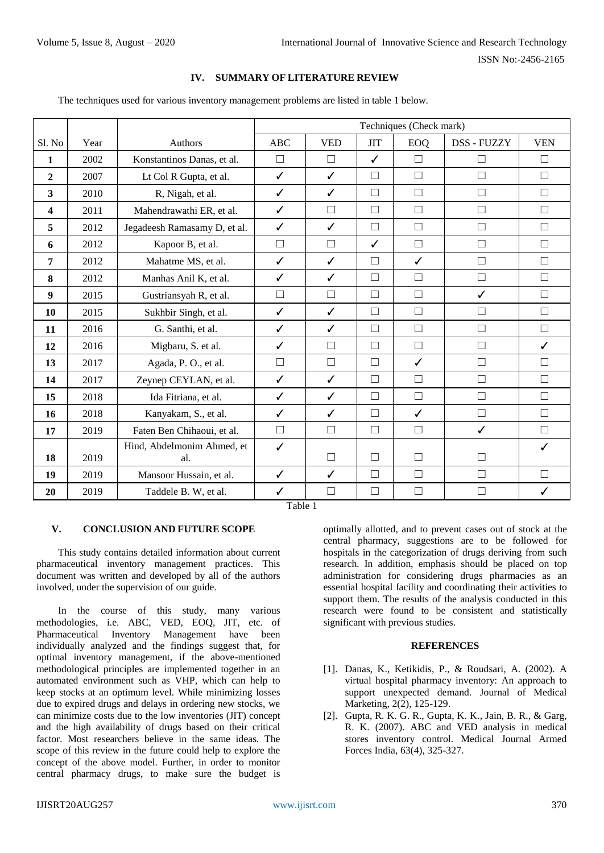#### **IV. SUMMARY OF LITERATURE REVIEW**

The techniques used for various inventory management problems are listed in table 1 below.

|                |      |                                   | Techniques (Check mark) |              |              |              |             |              |
|----------------|------|-----------------------------------|-------------------------|--------------|--------------|--------------|-------------|--------------|
| Sl. No         | Year | <b>Authors</b>                    | ABC                     | <b>VED</b>   | <b>JIT</b>   | <b>EOQ</b>   | DSS - FUZZY | <b>VEN</b>   |
| 1              | 2002 | Konstantinos Danas, et al.        | $\Box$                  | $\Box$       | $\checkmark$ | $\Box$       | □           | $\Box$       |
| $\overline{2}$ | 2007 | Lt Col R Gupta, et al.            | $\checkmark$            | $\checkmark$ | $\Box$       | $\Box$       | □           | П            |
| 3              | 2010 | R, Nigah, et al.                  | ✓                       | $\checkmark$ | П            | $\Box$       | П           | $\Box$       |
| 4              | 2011 | Mahendrawathi ER, et al.          | ✓                       | $\Box$       | $\Box$       | $\Box$       | $\Box$      | □            |
| 5              | 2012 | Jegadeesh Ramasamy D, et al.      | ✓                       | $\checkmark$ | П            | $\Box$       | □           | П            |
| 6              | 2012 | Kapoor B, et al.                  | $\Box$                  | $\Box$       | $\checkmark$ | $\Box$       | $\Box$      | $\Box$       |
| 7              | 2012 | Mahatme MS, et al.                | ✓                       | $\checkmark$ | $\Box$       | $\checkmark$ | $\Box$      | $\Box$       |
| 8              | 2012 | Manhas Anil K, et al.             | ✓                       | $\checkmark$ | $\Box$       | $\Box$       | $\Box$      | П            |
| 9              | 2015 | Gustriansyah R, et al.            | $\Box$                  | $\Box$       | $\Box$       | $\Box$       | ✓           | П            |
| 10             | 2015 | Sukhbir Singh, et al.             | ✓                       | $\checkmark$ | П            | $\Box$       | □           | $\Box$       |
| 11             | 2016 | G. Santhi, et al.                 | ✓                       | $\checkmark$ | П            | $\Box$       | Г           | П            |
| 12             | 2016 | Migbaru, S. et al.                | ✓                       | $\Box$       | $\Box$       | $\Box$       | П           | $\checkmark$ |
| 13             | 2017 | Agada, P.O., et al.               | $\Box$                  | $\Box$       | $\Box$       | $\checkmark$ | $\Box$      | П            |
| 14             | 2017 | Zeynep CEYLAN, et al.             | ✓                       | $\checkmark$ | П            | П            | Г           | П            |
| 15             | 2018 | Ida Fitriana, et al.              | ✓                       | $\checkmark$ | $\Box$       | $\Box$       | $\Box$      | $\Box$       |
| 16             | 2018 | Kanyakam, S., et al.              | ✓                       | $\checkmark$ | $\Box$       | $\checkmark$ | $\Box$      | П            |
| 17             | 2019 | Faten Ben Chihaoui, et al.        | $\Box$                  | $\Box$       | $\Box$       | $\Box$       | ✓           | П            |
| 18             | 2019 | Hind, Abdelmonim Ahmed, et<br>al. | ✓                       | П            | П            | П            | П           | ✓            |
| 19             | 2019 | Mansoor Hussain, et al.           | ✓                       | $\checkmark$ | $\Box$       | $\Box$       | □           | П            |
| 20             | 2019 | Taddele B. W, et al.              | $\checkmark$            | $\Box$       | $\Box$       | $\Box$       | Г           | ✓            |

Table 1

#### **V. CONCLUSION AND FUTURE SCOPE**

This study contains detailed information about current pharmaceutical inventory management practices. This document was written and developed by all of the authors involved, under the supervision of our guide.

In the course of this study, many various methodologies, i.e. ABC, VED, EOQ, JIT, etc. of Pharmaceutical Inventory Management have been individually analyzed and the findings suggest that, for optimal inventory management, if the above-mentioned methodological principles are implemented together in an automated environment such as VHP, which can help to keep stocks at an optimum level. While minimizing losses due to expired drugs and delays in ordering new stocks, we can minimize costs due to the low inventories (JIT) concept and the high availability of drugs based on their critical factor. Most researchers believe in the same ideas. The scope of this review in the future could help to explore the concept of the above model. Further, in order to monitor central pharmacy drugs, to make sure the budget is

optimally allotted, and to prevent cases out of stock at the central pharmacy, suggestions are to be followed for hospitals in the categorization of drugs deriving from such research. In addition, emphasis should be placed on top administration for considering drugs pharmacies as an essential hospital facility and coordinating their activities to support them. The results of the analysis conducted in this research were found to be consistent and statistically significant with previous studies.

#### **REFERENCES**

- [1]. Danas, K., Ketikidis, P., & Roudsari, A. (2002). A virtual hospital pharmacy inventory: An approach to support unexpected demand. Journal of Medical Marketing, 2(2), 125-129.
- [2]. Gupta, R. K. G. R., Gupta, K. K., Jain, B. R., & Garg, R. K. (2007). ABC and VED analysis in medical stores inventory control. Medical Journal Armed Forces India, 63(4), 325-327.